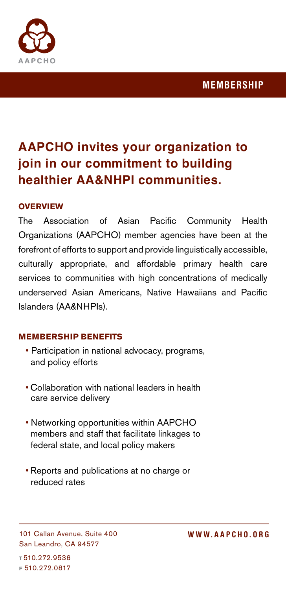



# **AAPCHO invites your organization to join in our commitment to building healthier AA&NHPI communities.**

### **OVERVIEW**

The Association of Asian Pacific Community Health Organizations (AAPCHO) member agencies have been at the forefront of efforts to support and provide linguistically accessible, culturally appropriate, and affordable primary health care services to communities with high concentrations of medically underserved Asian Americans, Native Hawaiians and Pacific Islanders (AA&NHPIs).

### **MEMBERSHIP BENEFITS**

- Participation in national advocacy, programs, and policy efforts
- Collaboration with national leaders in health care service delivery
- Networking opportunities within AAPCHO members and staff that facilitate linkages to federal state, and local policy makers
- Reports and publications at no charge or reduced rates